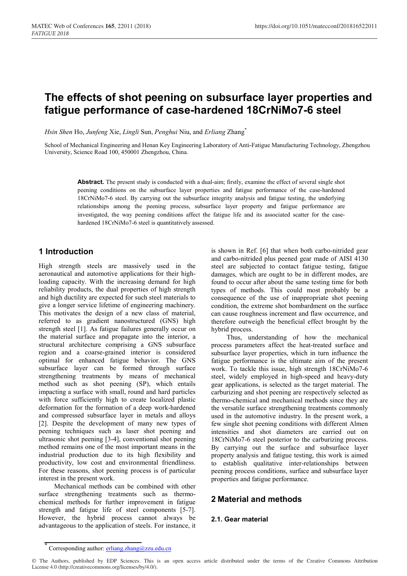# **The effects of shot peening on subsurface layer properties and fatigue performance of case-hardened 18CrNiMo7-6 steel**

*Hsin Shen* Ho, *Junfeng* Xie, *Lingli* Sun, *Penghui* Niu, and *Erliang* Zhang\*

School of Mechanical Engineering and Henan Key Engineering Laboratory of Anti-Fatigue Manufacturing Technology, Zhengzhou University, Science Road 100, 450001 Zhengzhou, China.

Abstract. The present study is conducted with a dual-aim; firstly, examine the effect of several single shot peening conditions on the subsurface layer properties and fatigue performance of the case-hardened 18CrNiMo7-6 steel. By carrying out the subsurface integrity analysis and fatigue testing, the underlying relationships among the peening process, subsurface layer property and fatigue performance are investigated, the way peening conditions affect the fatigue life and its associated scatter for the casehardened 18CrNiMo7-6 steel is quantitatively assessed.

# **1 Introduction**

High strength steels are massively used in the aeronautical and automotive applications for their highloading capacity. With the increasing demand for high reliability products, the dual properties of high strength and high ductility are expected for such steel materials to give a longer service lifetime of engineering machinery. This motivates the design of a new class of material, referred to as gradient nanostructured (GNS) high strength steel [1]. As fatigue failures generally occur on the material surface and propagate into the interior, a structural architecture comprising a GNS subsurface region and a coarse-grained interior is considered optimal for enhanced fatigue behavior. The GNS subsurface layer can be formed through surface strengthening treatments by means of mechanical method such as shot peening (SP), which entails impacting a surface with small, round and hard particles with force sufficiently high to create localized plastic deformation for the formation of a deep work-hardened and compressed subsurface layer in metals and alloys [2]. Despite the development of many new types of peening techniques such as laser shot peening and ultrasonic shot peening [3-4], conventional shot peening method remains one of the most important means in the industrial production due to its high flexibility and productivity, low cost and environmental friendliness. For these reasons, shot peening process is of particular interest in the present work.

Mechanical methods can be combined with other surface strengthening treatments such as thermochemical methods for further improvement in fatigue strength and fatigue life of steel components [5-7]. However, the hybrid process cannot always be advantageous to the application of steels. For instance, it

is shown in Ref. [6] that when both carbo-nitrided gear and carbo-nitrided plus peened gear made of AISI 4130 steel are subjected to contact fatigue testing, fatigue damages, which are ought to be in different modes, are found to occur after about the same testing time for both types of methods. This could most probably be a consequence of the use of inappropriate shot peening condition, the extreme shot bombardment on the surface can cause roughness increment and flaw occurrence, and therefore outweigh the beneficial effect brought by the hybrid process.

Thus, understanding of how the mechanical process parameters affect the heat-treated surface and subsurface layer properties, which in turn influence the fatigue performance is the ultimate aim of the present work. To tackle this issue, high strength 18CrNiMo7-6 steel, widely employed in high-speed and heavy-duty gear applications, is selected as the target material. The carburizing and shot peening are respectively selected as thermo-chemical and mechanical methods since they are the versatile surface strengthening treatments commonly used in the automotive industry. In the present work, a few single shot peening conditions with different Almen intensities and shot diameters are carried out on 18CrNiMo7-6 steel posterior to the carburizing process. By carrying out the surface and subsurface layer property analysis and fatigue testing, this work is aimed to establish qualitative inter-relationships between peening process conditions, surface and subsurface layer properties and fatigue performance.

# **2 Material and methods**

# **2.1. Gear material**

Corresponding author: erliang.zhang@zzu.edu.cn

<sup>©</sup> The Authors, published by EDP Sciences. This is an open access article distributed under the terms of the Creative Commons Attribution License 4.0 (http://creativecommons.org/licenses/by/4.0/).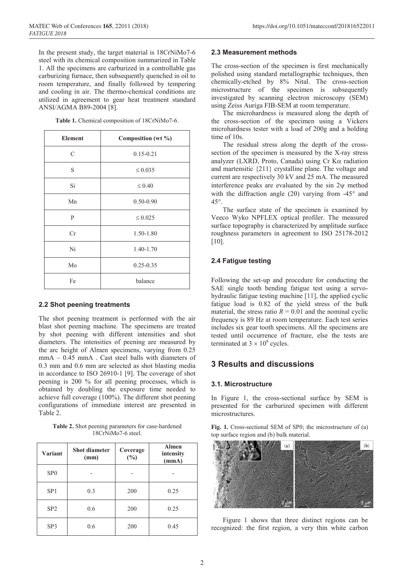In the present study, the target material is 18CrNiMo7-6 steel with its chemical composition summarized in Table 1. All the specimens are carburized in a controllable gas carburizing furnace, then subsequently quenched in oil to room temperature, and finally followed by tempering and cooling in air. The thermo-chemical conditions are utilized in agreement to gear heat treatment standard ANSI/AGMA B89-2004 [8].

**Table 1.** Chemical composition of 18CrNiMo7-6.

| <b>Element</b> | Composition (wt %) |  |
|----------------|--------------------|--|
| C              | $0.15 - 0.21$      |  |
| S              | $\leq 0.035$       |  |
| Si             | $\leq 0.40$        |  |
| Mn             | $0.50 - 0.90$      |  |
| P              | $\leq 0.025$       |  |
| Cr             | 1.50-1.80          |  |
| Ni             | 1.40-1.70          |  |
| Mo             | $0.25 - 0.35$      |  |
| Fe             | balance            |  |

## **2.2 Shot peening treatments**

The shot peening treatment is performed with the air blast shot peening machine. The specimens are treated by shot peening with different intensities and shot diameters. The intensities of peening are measured by the arc height of Almen specimens, varying from 0.25 mmA – 0.45 mmA . Cast steel balls with diameters of 0.3 mm and 0.6 mm are selected as shot blasting media in accordance to ISO 26910-1 [9]. The coverage of shot peening is 200 % for all peening processes, which is obtained by doubling the exposure time needed to achieve full coverage (100%). The different shot peening configurations of immediate interest are presented in Table 2.

**Table 2.** Shot peening parameters for case-hardened 18CrNiMo7-6 steel.

| Variant         | <b>Shot diameter</b><br>(mm) | Coverage<br>$(\%)$ | <b>Almen</b><br>intensity<br>(mm) |
|-----------------|------------------------------|--------------------|-----------------------------------|
| SP <sub>0</sub> |                              |                    |                                   |
| SP <sub>1</sub> | 0.3                          | 200                | 0.25                              |
| SP2             | 0.6                          | 200                | 0.25                              |
| SP3             | 0.6                          | 200                | 0.45                              |

## **2.3 Measurement methods**

The cross-section of the specimen is first mechanically polished using standard metallographic techniques, then chemically-etched by 8% Nital. The cross-section microstructure of the specimen is subsequently investigated by scanning electron microscopy (SEM) using Zeiss Auriga FIB-SEM at room temperature.

The microhardness is measured along the depth of the cross-section of the specimen using a Vickers microhardness tester with a load of 200g and a holding time of 10s.

The residual stress along the depth of the crosssection of the specimen is measured by the X-ray stress analyzer (LXRD, Proto, Canada) using Cr  $K\alpha$  radiation and martensitic {211} crystalline plane. The voltage and current are respectively 30 kV and 25 mA. The measured interference peaks are evaluated by the sin  $2\nu$  method with the diffraction angle (2 $\theta$ ) varying from -45° and 45°.

The surface state of the specimen is examined by Veeco Wyko NPFLEX optical profiler. The measured surface topography is characterized by amplitude surface roughness parameters in agreement to ISO 25178-2012 [10].

# **2.4 Fatigue testing**

Following the set-up and procedure for conducting the SAE single tooth bending fatigue test using a servohydraulic fatigue testing machine [11], the applied cyclic fatigue load is 0.82 of the yield stress of the bulk material, the stress ratio  $R = 0.01$  and the nominal cyclic frequency is 89 Hz at room temperature. Each test series includes six gear tooth specimens. All the specimens are tested until occurrence of fracture, else the tests are terminated at  $3 \times 10^6$  cycles.

# **3 Results and discussions**

# **3.1. Microstructure**

In Figure 1, the cross-sectional surface by SEM is presented for the carburized specimen with different microstructures.

**Fig. 1.** Cross-sectional SEM of SP0; the microstructure of (a) top surface region and (b) bulk material.



Figure 1 shows that three distinct regions can be recognized: the first region, a very thin white carbon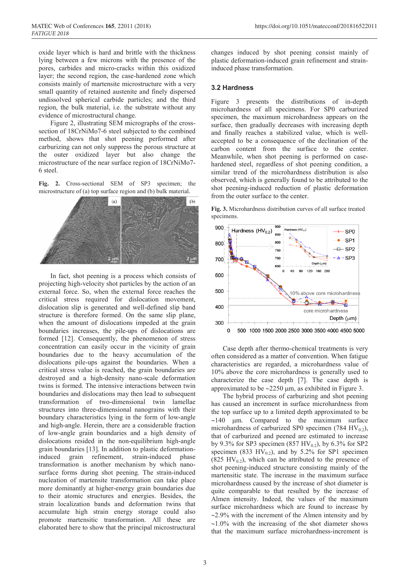oxide layer which is hard and brittle with the thickness lying between a few microns with the presence of the pores, carbides and micro-cracks within this oxidized layer; the second region, the case-hardened zone which consists mainly of martensite microstructure with a very small quantity of retained austenite and finely dispersed undissolved spherical carbide particles; and the third region, the bulk material, i.e. the substrate without any evidence of microstructural change.

Figure 2, illustrating SEM micrographs of the crosssection of 18CrNiMo7-6 steel subjected to the combined method, shows that shot peening performed after carburizing can not only suppress the porous structure at the outer oxidized layer but also change the microstructure of the near surface region of 18CrNiMo7- 6 steel.

**Fig. 2.** Cross-sectional SEM of SP3 specimen; the microstructure of (a) top surface region and (b) bulk material.



In fact, shot peening is a process which consists of projecting high-velocity shot particles by the action of an external force. So, when the external force reaches the critical stress required for dislocation movement, dislocation slip is generated and well-defined slip band structure is therefore formed. On the same slip plane, when the amount of dislocations impeded at the grain boundaries increases, the pile-ups of dislocations are formed [12]. Consequently, the phenomenon of stress concentration can easily occur in the vicinity of grain boundaries due to the heavy accumulation of the dislocations pile-ups against the boundaries. When a critical stress value is reached, the grain boundaries are destroyed and a high-density nano-scale deformation twins is formed. The intensive interactions between twin boundaries and dislocations may then lead to subsequent transformation of two-dimensional twin lamellae structures into three-dimensional nanograins with their boundary characteristics lying in the form of low-angle and high-angle. Herein, there are a considerable fraction of low-angle grain boundaries and a high density of dislocations resided in the non-equilibrium high-angle grain boundaries [13]. In addition to plastic deformationinduced grain refinement, strain-induced phase transformation is another mechanism by which nanosurface forms during shot peening. The strain-induced nucleation of martensite transformation can take place more dominantly at higher-energy grain boundaries due to their atomic structures and energies. Besides, the strain localization bands and deformation twins that accumulate high strain energy storage could also promote martensitic transformation. All these are elaborated here to show that the principal microstructural

changes induced by shot peening consist mainly of plastic deformation-induced grain refinement and straininduced phase transformation.

#### **3.2 Hardness**

Figure 3 presents the distributions of in-depth microhardness of all specimens. For SP0 carburized specimen, the maximum microhardness appears on the surface, then gradually decreases with increasing depth and finally reaches a stabilized value, which is wellaccepted to be a consequence of the declination of the carbon content from the surface to the center. Meanwhile, when shot peening is performed on casehardened steel, regardless of shot peening condition, a similar trend of the microhardness distribution is also observed, which is generally found to be attributed to the shot peening-induced reduction of plastic deformation from the outer surface to the center.

**Fig. 3.** Microhardness distribution curves of all surface treated specimens.



Case depth after thermo-chemical treatments is very often considered as a matter of convention. When fatigue characteristics are regarded, a microhardness value of 10% above the core microhardness is generally used to characterize the case depth [7]. The case depth is approximated to be ∼2250 µm, as exhibited in Figure 3.

The hybrid process of carburizing and shot peening has caused an increment in surface microhardness from the top surface up to a limited depth approximated to be ∼140 µm. Compared to the maximum surface microhardness of carburized SP0 specimen (784 HV $_{0.2}$ ), that of carburized and peened are estimated to increase by 9.3% for SP3 specimen (857 HV<sub>0.2</sub>), by 6.3% for SP2 specimen (833 HV $_{0.2}$ ), and by 5.2% for SP1 specimen (825 HV $_{0.2}$ ), which can be attributed to the presence of shot peening-induced structure consisting mainly of the martensitic state. The increase in the maximum surface microhardness caused by the increase of shot diameter is quite comparable to that resulted by the increase of Almen intensity. Indeed, the values of the maximum surface microhardness which are found to increase by ∼2.9% with the increment of the Almen intensity and by ∼1.0% with the increasing of the shot diameter shows that the maximum surface microhardness-increment is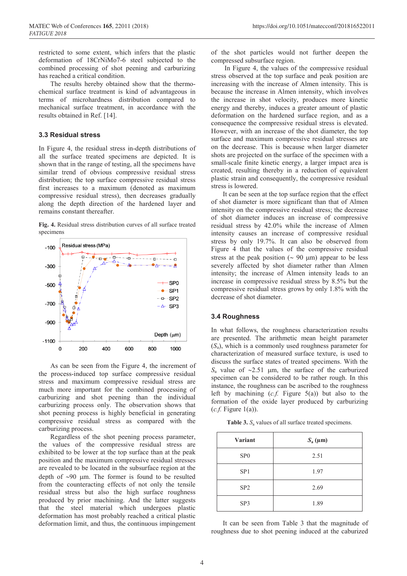restricted to some extent, which infers that the plastic deformation of 18CrNiMo7-6 steel subjected to the combined processing of shot peening and carburizing has reached a critical condition.

The results hereby obtained show that the thermochemical surface treatment is kind of advantageous in terms of microhardness distribution compared to mechanical surface treatment, in accordance with the results obtained in Ref. [14].

## **3.3 Residual stress**

In Figure 4, the residual stress in-depth distributions of all the surface treated specimens are depicted. It is shown that in the range of testing, all the specimens have similar trend of obvious compressive residual stress distribution; the top surface compressive residual stress first increases to a maximum (denoted as maximum compressive residual stress), then decreases gradually along the depth direction of the hardened layer and remains constant thereafter.

**Fig. 4.** Residual stress distribution curves of all surface treated specimens



As can be seen from the Figure 4, the increment of the process-induced top surface compressive residual stress and maximum compressive residual stress are much more important for the combined processing of carburizing and shot peening than the individual carburizing process only. The observation shows that shot peening process is highly beneficial in generating compressive residual stress as compared with the carburizing process.

Regardless of the shot peening process parameter, the values of the compressive residual stress are exhibited to be lower at the top surface than at the peak position and the maximum compressive residual stresses are revealed to be located in the subsurface region at the depth of ∼90 µm. The former is found to be resulted from the counteracting effects of not only the tensile residual stress but also the high surface roughness produced by prior machining. And the latter suggests that the steel material which undergoes plastic deformation has most probably reached a critical plastic deformation limit, and thus, the continuous impingement

of the shot particles would not further deepen the compressed subsurface region.

In Figure 4, the values of the compressive residual stress observed at the top surface and peak position are increasing with the increase of Almen intensity. This is because the increase in Almen intensity, which involves the increase in shot velocity, produces more kinetic energy and thereby, induces a greater amount of plastic deformation on the hardened surface region, and as a consequence the compressive residual stress is elevated. However, with an increase of the shot diameter, the top surface and maximum compressive residual stresses are on the decrease. This is because when larger diameter shots are projected on the surface of the specimen with a small-scale finite kinetic energy, a larger impact area is created, resulting thereby in a reduction of equivalent plastic strain and consequently, the compressive residual stress is lowered.

It can be seen at the top surface region that the effect of shot diameter is more significant than that of Almen intensity on the compressive residual stress; the decrease of shot diameter induces an increase of compressive residual stress by 42.0% while the increase of Almen intensity causes an increase of compressive residual stress by only 19.7%. It can also be observed from Figure 4 that the values of the compressive residual stress at the peak position ( $\sim$  90 µm) appear to be less severely affected by shot diameter rather than Almen intensity; the increase of Almen intensity leads to an increase in compressive residual stress by 8.5% but the compressive residual stress grows by only 1.8% with the decrease of shot diameter.

## **3.4 Roughness**

In what follows, the roughness characterization results are presented. The arithmetic mean height parameter (*S*a), which is a commonly used roughness parameter for characterization of measured surface texture, is used to discuss the surface states of treated specimens. With the *S*<sup>a</sup> value of ∼2.51 µm, the surface of the carburized specimen can be considered to be rather rough. In this instance, the roughness can be ascribed to the roughness left by machining (*c.f.* Figure 5(a)) but also to the formation of the oxide layer produced by carburizing (*c.f.* Figure 1(a)).

**Table 3.** *S*<sup>a</sup> values of all surface treated specimens.

| Variant         | $S_a(\mu m)$ |
|-----------------|--------------|
| SP <sub>0</sub> | 2.51         |
| SP <sub>1</sub> | 1.97         |
| SP <sub>2</sub> | 2.69         |
| SP3             | 1.89         |

It can be seen from Table 3 that the magnitude of roughness due to shot peening induced at the caburized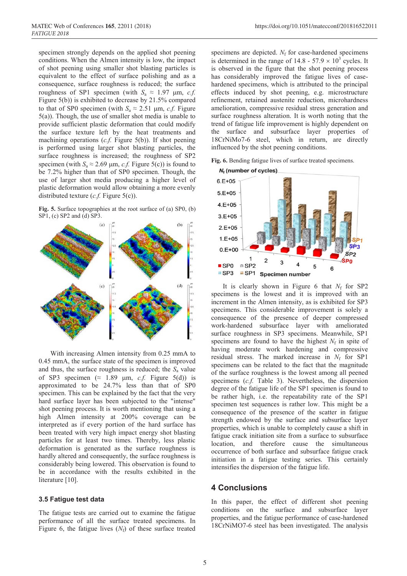specimen strongly depends on the applied shot peening conditions. When the Almen intensity is low, the impact of shot peening using smaller shot blasting particles is equivalent to the effect of surface polishing and as a consequence, surface roughness is reduced; the surface roughness of SP1 specimen (with  $S_a \approx 1.97$  µm, *c.f.* Figure 5(b)) is exhibited to decrease by 21.5% compared to that of SP0 specimen (with  $S_a \approx 2.51$  µm, *c.f.* Figure 5(a)). Though, the use of smaller shot media is unable to provide sufficient plastic deformation that could modify the surface texture left by the heat treatments and machining operations (*c.f.* Figure 5(b)). If shot peening is performed using larger shot blasting particles, the surface roughness is increased; the roughness of SP2 specimen (with  $S_a \approx 2.69$  µm, *c.f.* Figure 5(c)) is found to be 7.2% higher than that of SP0 specimen. Though, the use of larger shot media producing a higher level of plastic deformation would allow obtaining a more evenly distributed texture (*c.f.* Figure 5(c)).

**Fig. 5.** Surface topographies at the root surface of (a) SP0, (b) SP1, (c) SP2 and (d) SP3.



With increasing Almen intensity from 0.25 mmA to 0.45 mmA, the surface state of the specimen is improved and thus, the surface roughness is reduced; the *S*<sup>a</sup> value of SP3 specimen ( $\approx$  1.89  $\mu$ m, *c.f.* Figure 5(d)) is approximated to be 24.7% less than that of SP0 specimen. This can be explained by the fact that the very hard surface layer has been subjected to the "intense" shot peening process. It is worth mentioning that using a high Almen intensity at 200% coverage can be interpreted as if every portion of the hard surface has been treated with very high impact energy shot blasting particles for at least two times. Thereby, less plastic deformation is generated as the surface roughness is hardly altered and consequently, the surface roughness is considerably being lowered. This observation is found to be in accordance with the results exhibited in the literature [10].

#### **3.5 Fatigue test data**

The fatigue tests are carried out to examine the fatigue performance of all the surface treated specimens. In Figure 6, the fatigue lives  $(N_f)$  of these surface treated

specimens are depicted.  $N_f$  for case-hardened specimens is determined in the range of 14.8 -  $57.9 \times 10^3$  cycles. It is observed in the figure that the shot peening process has considerably improved the fatigue lives of casehardened specimens, which is attributed to the principal effects induced by shot peening, e.g. microstructure refinement, retained austenite reduction, microhardness amelioration, compressive residual stress generation and surface roughness alteration. It is worth noting that the trend of fatigue life improvement is highly dependent on the surface and subsurface layer properties of 18CrNiMo7-6 steel, which in return, are directly influenced by the shot peening conditions.





It is clearly shown in Figure 6 that  $N_f$  for SP2 specimens is the lowest and it is improved with an increment in the Almen intensity, as is exhibited for SP3 specimens. This considerable improvement is solely a consequence of the presence of deeper compressed work-hardened subsurface layer with ameliorated surface roughness in SP3 specimens. Meanwhile, SP1 specimens are found to have the highest  $N_f$  in spite of having moderate work hardening and compressive residual stress. The marked increase in  $N_f$  for SP1 specimens can be related to the fact that the magnitude of the surface roughness is the lowest among all peened specimens (*c.f.* Table 3). Nevertheless, the dispersion degree of the fatigue life of the SP1 specimen is found to be rather high, i.e. the repeatability rate of the SP1 specimen test sequences is rather low. This might be a consequence of the presence of the scatter in fatigue strength endowed by the surface and subsurface layer properties, which is unable to completely cause a shift in fatigue crack initiation site from a surface to subsurface location, and therefore cause the simultaneous occurrence of both surface and subsurface fatigue crack initiation in a fatigue testing series. This certainly intensifies the dispersion of the fatigue life.

## **4 Conclusions**

In this paper, the effect of different shot peening conditions on the surface and subsurface layer properties, and the fatigue performance of case-hardened 18CrNiMO7-6 steel has been investigated. The analysis